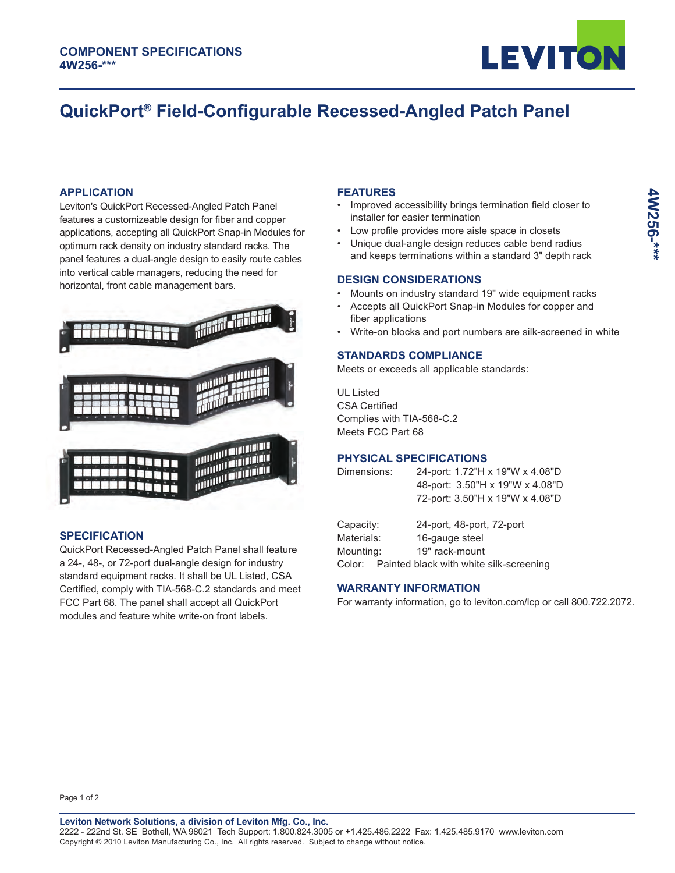

# **QuickPort® Field-Configurable Recessed-Angled Patch Panel**

## **APPLICATION**

Leviton's QuickPort Recessed-Angled Patch Panel features a customizeable design for fiber and copper applications, accepting all QuickPort Snap-in Modules for optimum rack density on industry standard racks. The panel features a dual-angle design to easily route cables into vertical cable managers, reducing the need for horizontal, front cable management bars.



### **SPECIFICATION**

QuickPort Recessed-Angled Patch Panel shall feature a 24-, 48-, or 72-port dual-angle design for industry standard equipment racks. It shall be UL Listed, CSA Certified, comply with TIA-568-C.2 standards and meet FCC Part 68. The panel shall accept all QuickPort modules and feature white write-on front labels.

#### **FEATURES**

- Improved accessibility brings termination field closer to installer for easier termination
- Low profile provides more aisle space in closets
- Unique dual-angle design reduces cable bend radius and keeps terminations within a standard 3" depth rack

## **DESIGN CONSIDERATIONS**

- Mounts on industry standard 19" wide equipment racks
- Accepts all QuickPort Snap-in Modules for copper and fiber applications
- Write-on blocks and port numbers are silk-screened in white

# **STANDARDS COMPLIANCE**

Meets or exceeds all applicable standards:

UL Listed CSA Certified Complies with TIA-568-C.2 Meets FCC Part 68

# **PHYSICAL SPECIFICATIONS**

| Dimensions:             | 24-port: 1.72"H x 19"W x 4.08"D<br>48-port: 3.50"H x 19"W x 4.08"D |
|-------------------------|--------------------------------------------------------------------|
|                         | 72-port: 3.50"H x 19"W x 4.08"D                                    |
| Capacity:<br>Materials: | 24-port, 48-port, 72-port<br>16-gauge steel                        |
|                         |                                                                    |

Mounting: 19" rack-mount Color: Painted black with white silk-screening

# **WARRANTY INFORMATION**

For warranty information, go to leviton.com/lcp or call 800.722.2072.

Page 1 of 2